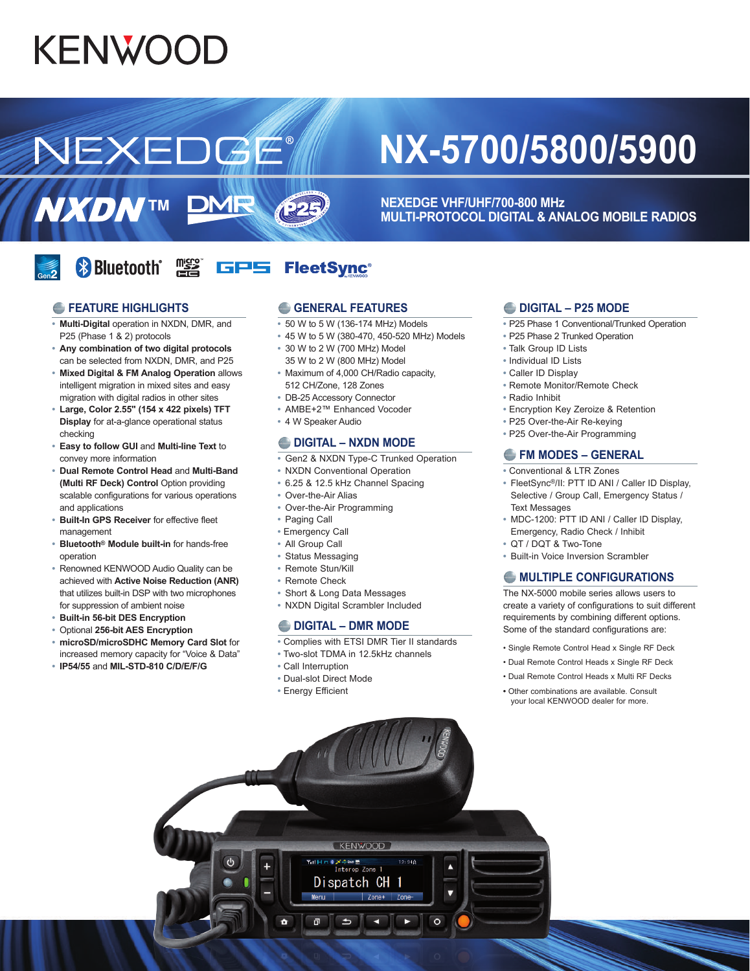# **KENWOOD**

NEXEDGE

## **NX-5700/5800/5900**

**NEXEDGE VHF/UHF/700-800 MHz MULTI-PROTOCOL DIGITAL & ANALOG MOBILE RADIOS**

#### **& Bluetooth** misto<br>Times **GPS FleetSync®**

**DMR** 

#### *<b>E* FEATURE HIGHLIGHTS

**NXDNTM** 

- **• Multi-Digital** operation in NXDN, DMR, and P25 (Phase 1 & 2) protocols
- **• Any combination of two digital protocols**
- can be selected from NXDN, DMR, and P25 **• Mixed Digital & FM Analog Operation** allows intelligent migration in mixed sites and easy migration with digital radios in other sites
- **• Large, Color 2.55" (154 x 422 pixels) TFT Display** for at-a-glance operational status checking
- **• Easy to follow GUI** and **Multi-line Text** to convey more information
- **• Dual Remote Control Head** and **Multi-Band (Multi RF Deck) Control** Option providing scalable configurations for various operations and applications
- **• Built-In GPS Receiver** for effective fleet management
- **• Bluetooth® Module built-in** for hands-free operation
- **•** Renowned KENWOOD Audio Quality can be achieved with **Active Noise Reduction (ANR)** that utilizes built-in DSP with two microphones for suppression of ambient noise
- **• Built-in 56-bit DES Encryption**
- **•** Optional **256-bit AES Encryption**
- **• microSD/microSDHC Memory Card Slot** for increased memory capacity for "Voice & Data"
- **• IP54/55** and **MIL-STD-810 C/D/E/F/G**

#### **GENERAL FEATURES**

- **•** 50 W to 5 W (136-174 MHz) Models
- **•** 45 W to 5 W (380-470, 450-520 MHz) Models
- **•** 30 W to 2 W (700 MHz) Model 35 W to 2 W (800 MHz) Model
- **•** Maximum of 4,000 CH/Radio capacity, 512 CH/Zone, 128 Zones
- **•** DB-25 Accessory Connector
- **•** AMBE+2™ Enhanced Vocoder
- **•** 4 W Speaker Audio

**AJ2B** 

#### **DIGITAL – NXDN MODE**

- **•** Gen2 & NXDN Type-C Trunked Operation
- **•** NXDN Conventional Operation
- **•** 6.25 & 12.5 kHz Channel Spacing
- **•** Over-the-Air Alias
- **•** Over-the-Air Programming
- **•** Paging Call
- **•** Emergency Call
- **•** All Group Call
- **•** Status Messaging
- **•** Remote Stun/Kill
- **•** Remote Check
- **•** Short & Long Data Messages
- **•** NXDN Digital Scrambler Included

#### **DIGITAL – DMR MODE**

- **•** Complies with ETSI DMR Tier II standards
- **•** Two-slot TDMA in 12.5kHz channels
- **•** Call Interruption
- **•** Dual-slot Direct Mode
- **•** Energy Efficient

#### **DIGITAL – P25 MODE**

- **•** P25 Phase 1 Conventional/Trunked Operation
- **•** P25 Phase 2 Trunked Operation
- **•** Talk Group ID Lists
- **•** Individual ID Lists
- **•** Caller ID Display
- **•** Remote Monitor/Remote Check
- **•** Radio Inhibit
	- **•** Encryption Key Zeroize & Retention
	- **•** P25 Over-the-Air Re-keying
	- **•** P25 Over-the-Air Programming

#### **FM MODES – GENERAL**

- **•** Conventional & LTR Zones
- **•** FleetSync®/II: PTT ID ANI / Caller ID Display, Selective / Group Call, Emergency Status / Text Messages
- **•** MDC-1200: PTT ID ANI / Caller ID Display, Emergency, Radio Check / Inhibit
- **•** QT / DQT & Two-Tone
- **•** Built-in Voice Inversion Scrambler

### **MULTIPLE CONFIGURATIONS**

The NX-5000 mobile series allows users to create a variety of configurations to suit different requirements by combining different options. Some of the standard configurations are:

- Single Remote Control Head x Single RF Deck
- Dual Remote Control Heads x Single RF Deck
- Dual Remote Control Heads x Multi RF Decks
- Other combinations are available. Consult your local KENWOOD dealer for more.